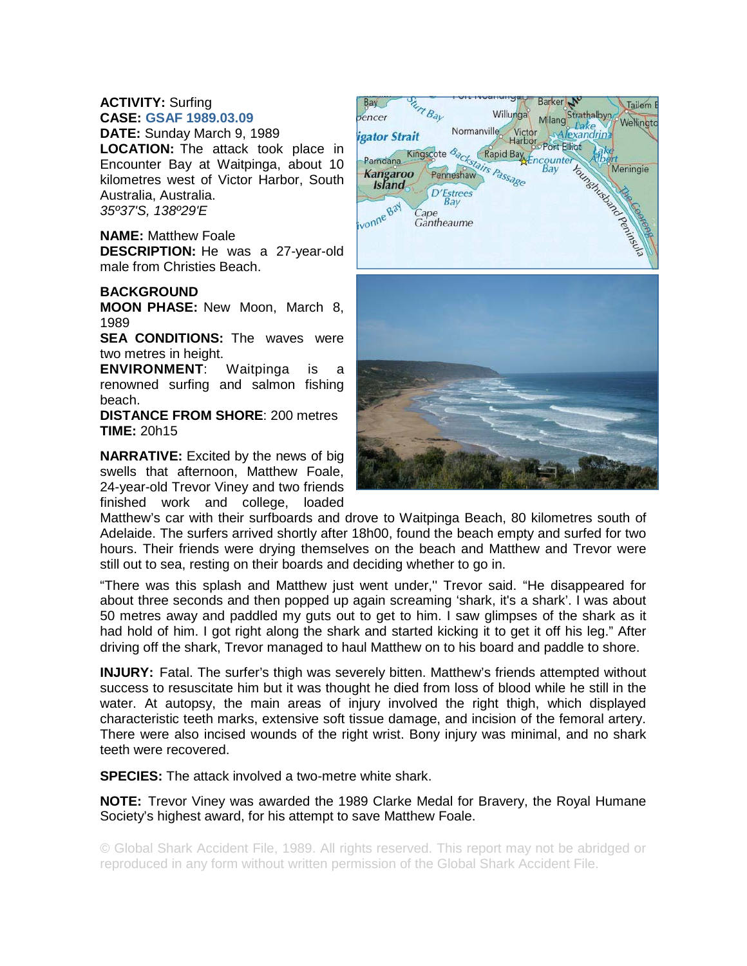## **ACTIVITY:** Surfing **CASE: GSAF 1989.03.09**

**DATE:** Sunday March 9, 1989 **LOCATION:** The attack took place in Encounter Bay at Waitpinga, about 10 kilometres west of Victor Harbor, South Australia, Australia. *35º37'S, 138º29'E*

## **NAME:** Matthew Foale

**DESCRIPTION:** He was a 27-year-old male from Christies Beach.

## **BACKGROUND**

**MOON PHASE:** New Moon, March 8, 1989

**SEA CONDITIONS:** The waves were two metres in height.

**ENVIRONMENT**: Waitpinga is a renowned surfing and salmon fishing beach.

**DISTANCE FROM SHORE**: 200 metres **TIME:** 20h15

**NARRATIVE:** Excited by the news of big swells that afternoon, Matthew Foale, 24-year-old Trevor Viney and two friends finished work and college, loaded



Matthew's car with their surfboards and drove to Waitpinga Beach, 80 kilometres south of Adelaide. The surfers arrived shortly after 18h00, found the beach empty and surfed for two hours. Their friends were drying themselves on the beach and Matthew and Trevor were still out to sea, resting on their boards and deciding whether to go in.

"There was this splash and Matthew just went under,'' Trevor said. "He disappeared for about three seconds and then popped up again screaming 'shark, it's a shark'. I was about 50 metres away and paddled my guts out to get to him. I saw glimpses of the shark as it had hold of him. I got right along the shark and started kicking it to get it off his leg." After driving off the shark, Trevor managed to haul Matthew on to his board and paddle to shore.

**INJURY:** Fatal. The surfer's thigh was severely bitten. Matthew's friends attempted without success to resuscitate him but it was thought he died from loss of blood while he still in the water. At autopsy, the main areas of injury involved the right thigh, which displayed characteristic teeth marks, extensive soft tissue damage, and incision of the femoral artery. There were also incised wounds of the right wrist. Bony injury was minimal, and no shark teeth were recovered.

**SPECIES:** The attack involved a two-metre white shark.

**NOTE:** Trevor Viney was awarded the 1989 Clarke Medal for Bravery, the Royal Humane Society's highest award, for his attempt to save Matthew Foale.

© Global Shark Accident File, 1989. All rights reserved. This report may not be abridged or reproduced in any form without written permission of the Global Shark Accident File.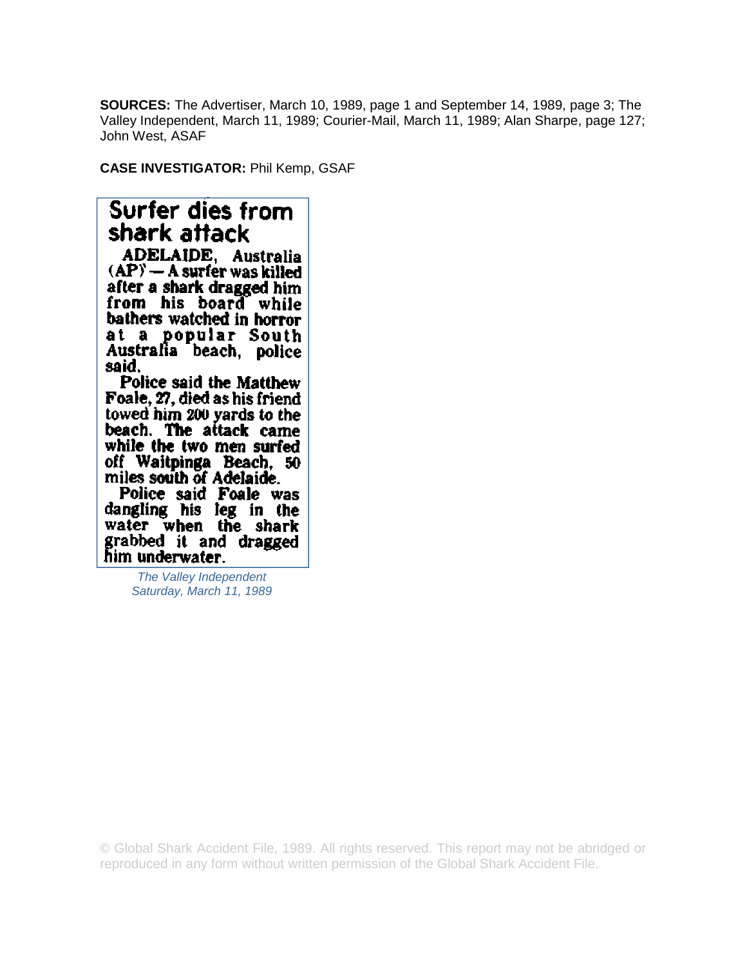**SOURCES:** The Advertiser, March 10, 1989, page 1 and September 14, 1989, page 3; The Valley Independent, March 11, 1989; Courier-Mail, March 11, 1989; Alan Sharpe, page 127; John West, ASAF

**CASE INVESTIGATOR:** Phil Kemp, GSAF

## Surfer dies from shark attack

**ADELAIDE, Australia**  $(AP) - A$  surfer was killed after a shark dragged him from his board while bathers watched in horror at a popular South Australia beach, police said.

Police said the Matthew Foale, 27, died as his friend towed him 200 yards to the beach. The attack came while the two men surfed off Waitpinga Beach, 50 miles south of Adelaide.

Police said Foale was dangling his leg in the water when the shark grabbed it and dragged<br>him underwater.

> *The Valley Independent Saturday, March 11, 1989*

© Global Shark Accident File, 1989. All rights reserved. This report may not be abridged or reproduced in any form without written permission of the Global Shark Accident File.